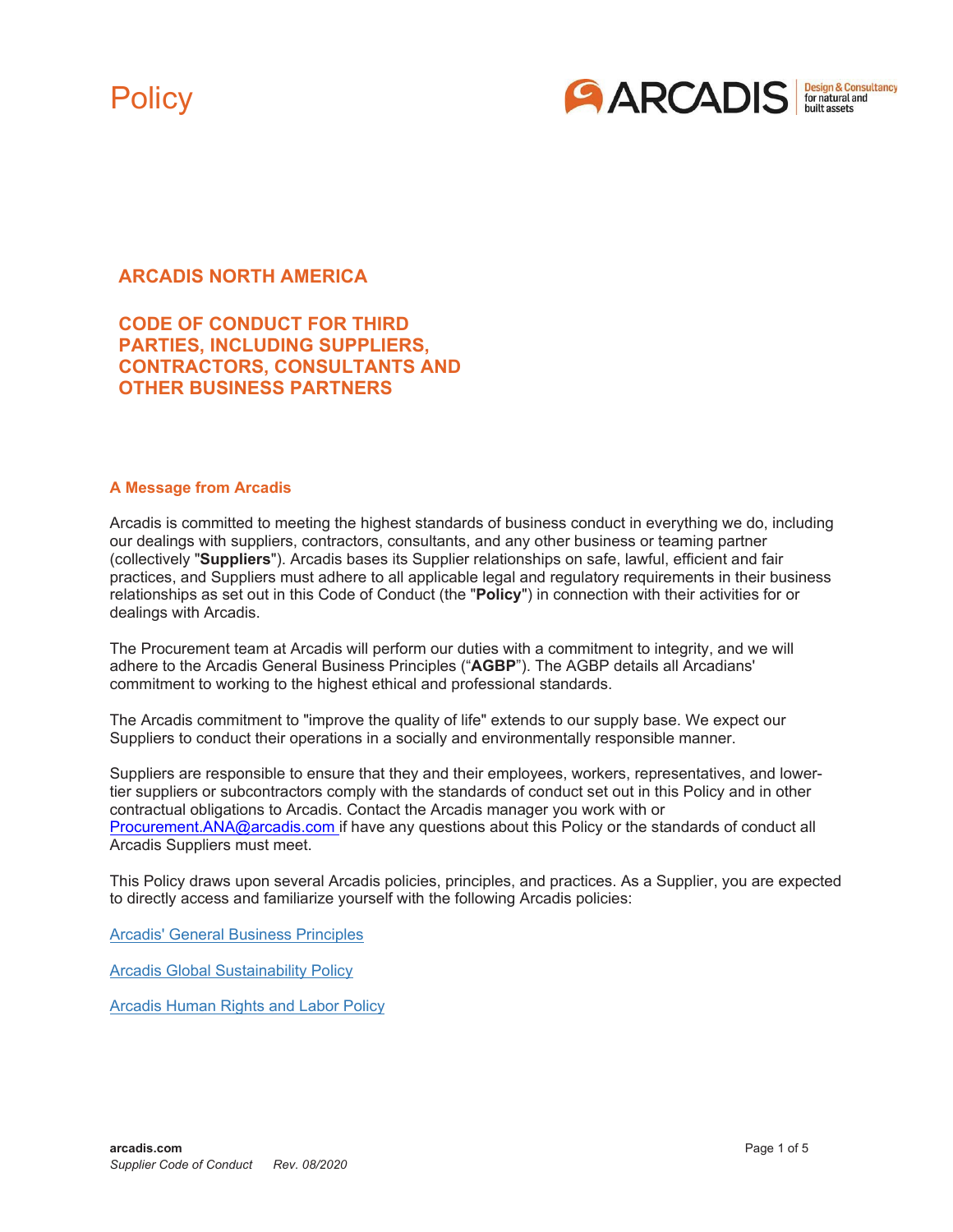



## **ARCADIS NORTH AMERICA**

## **CODE OF CONDUCT FOR THIRD PARTIES, INCLUDING SUPPLIERS, CONTRACTORS, CONSULTANTS AND OTHER BUSINESS PARTNERS**

#### **A Message from Arcadis**

Arcadis is committed to meeting the highest standards of business conduct in everything we do, including our dealings with suppliers, contractors, consultants, and any other business or teaming partner (collectively "**Suppliers**"). Arcadis bases its Supplier relationships on safe, lawful, efficient and fair practices, and Suppliers must adhere to all applicable legal and regulatory requirements in their business relationships as set out in this Code of Conduct (the "**Policy**") in connection with their activities for or dealings with Arcadis.

The Procurement team at Arcadis will perform our duties with a commitment to integrity, and we will adhere to the Arcadis General Business Principles ("**AGBP**"). The AGBP details all Arcadians' commitment to working to the highest ethical and professional standards.

The Arcadis commitment to "improve the quality of life" extends to our supply base. We expect our Suppliers to conduct their operations in a socially and environmentally responsible manner.

Suppliers are responsible to ensure that they and their employees, workers, representatives, and lowertier suppliers or subcontractors comply with the standards of conduct set out in this Policy and in other contractual obligations to Arcadis. Contact the Arcadis manager you work with or [Procurement.ANA@arcadis.com i](mailto:Procurement.ANA@arcadis.com)f have any questions about this Policy or the standards of conduct all Arcadis Suppliers must meet.

This Policy draws upon several Arcadis policies, principles, and practices. As a Supplier, you are expected to directly access and familiarize yourself with the following Arcadis policies:

Arcadis' General Business Principles

Arcadis Global Sustainability Policy

Arcadis Human Rights and Labor Policy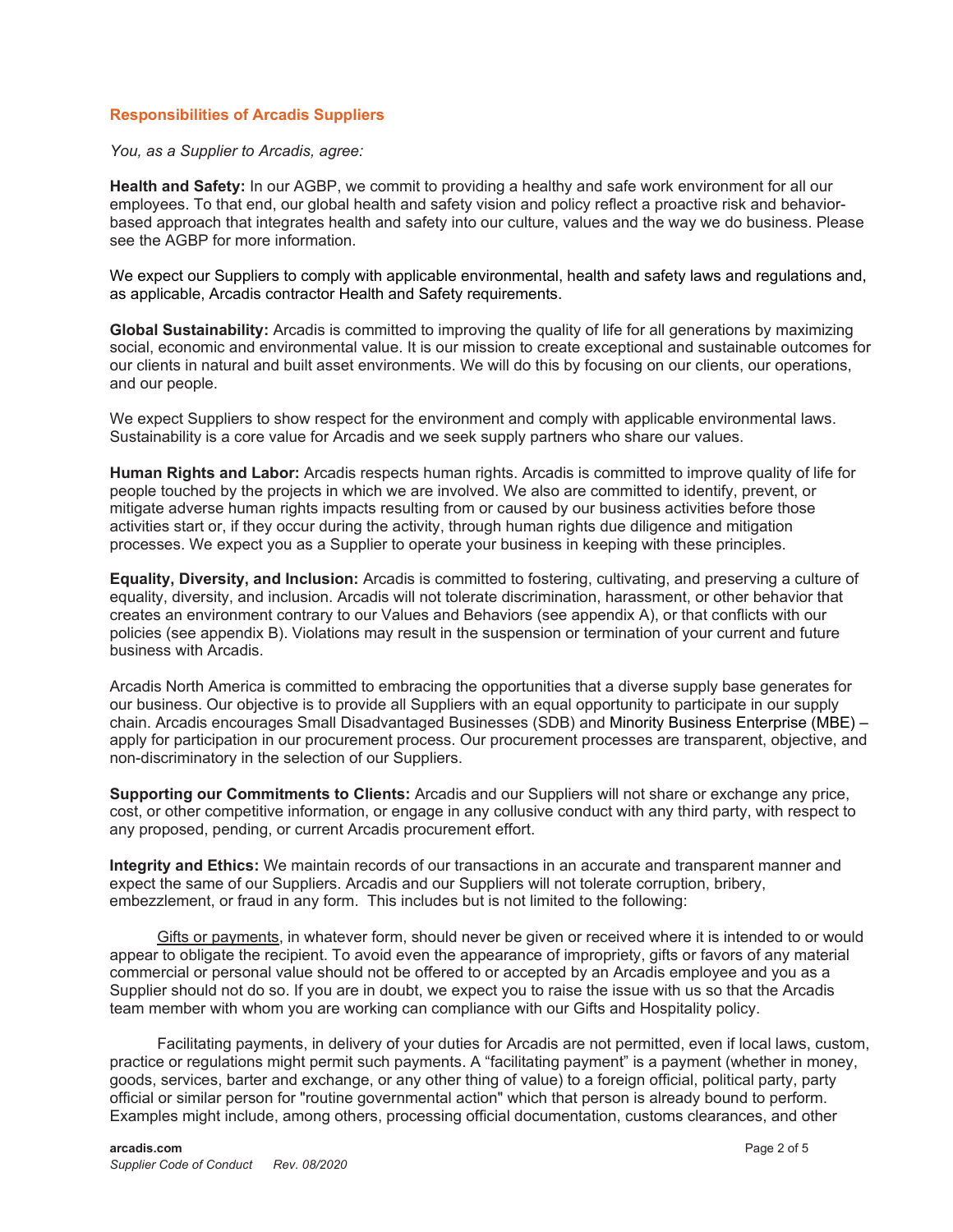### **Responsibilities of Arcadis Suppliers**

*You, as a Supplier to Arcadis, agree:*

**Health and Safety:** In our AGBP, we commit to providing a healthy and safe work environment for all our employees. To that end, our global health and safety vision and policy reflect a proactive risk and behaviorbased approach that integrates health and safety into our culture, values and the way we do business. Please see the AGBP for more information.

We expect our Suppliers to comply with applicable environmental, health and safety laws and regulations and, as applicable, Arcadis contractor Health and Safety requirements.

**Global Sustainability:** Arcadis is committed to improving the quality of life for all generations by maximizing social, economic and environmental value. It is our mission to create exceptional and sustainable outcomes for our clients in natural and built asset environments. We will do this by focusing on our clients, our operations, and our people.

We expect Suppliers to show respect for the environment and comply with applicable environmental laws. Sustainability is a core value for Arcadis and we seek supply partners who share our values.

**Human Rights and Labor:** Arcadis respects human rights. Arcadis is committed to improve quality of life for people touched by the projects in which we are involved. We also are committed to identify, prevent, or mitigate adverse human rights impacts resulting from or caused by our business activities before those activities start or, if they occur during the activity, through human rights due diligence and mitigation processes. We expect you as a Supplier to operate your business in keeping with these principles.

**Equality, Diversity, and Inclusion:** Arcadis is committed to fostering, cultivating, and preserving a culture of equality, diversity, and inclusion. Arcadis will not tolerate discrimination, harassment, or other behavior that creates an environment contrary to our Values and Behaviors (see appendix A), or that conflicts with our policies (see appendix B). Violations may result in the suspension or termination of your current and future business with Arcadis.

Arcadis North America is committed to embracing the opportunities that a diverse supply base generates for our business. Our objective is to provide all Suppliers with an equal opportunity to participate in our supply chain. Arcadis encourages Small Disadvantaged Businesses (SDB) and Minority Business Enterprise (MBE) – apply for participation in our procurement process. Our procurement processes are transparent, objective, and non-discriminatory in the selection of our Suppliers.

**Supporting our Commitments to Clients:** Arcadis and our Suppliers will not share or exchange any price, cost, or other competitive information, or engage in any collusive conduct with any third party, with respect to any proposed, pending, or current Arcadis procurement effort.

**Integrity and Ethics:** We maintain records of our transactions in an accurate and transparent manner and expect the same of our Suppliers. Arcadis and our Suppliers will not tolerate corruption, bribery, embezzlement, or fraud in any form. This includes but is not limited to the following:

Gifts or payments, in whatever form, should never be given or received where it is intended to or would appear to obligate the recipient. To avoid even the appearance of impropriety, gifts or favors of any material commercial or personal value should not be offered to or accepted by an Arcadis employee and you as a Supplier should not do so. If you are in doubt, we expect you to raise the issue with us so that the Arcadis team member with whom you are working can compliance with our Gifts and Hospitality policy.

Facilitating payments, in delivery of your duties for Arcadis are not permitted, even if local laws, custom, practice or regulations might permit such payments. A "facilitating payment" is a payment (whether in money, goods, services, barter and exchange, or any other thing of value) to a foreign official, political party, party official or similar person for "routine governmental action" which that person is already bound to perform. Examples might include, among others, processing official documentation, customs clearances, and other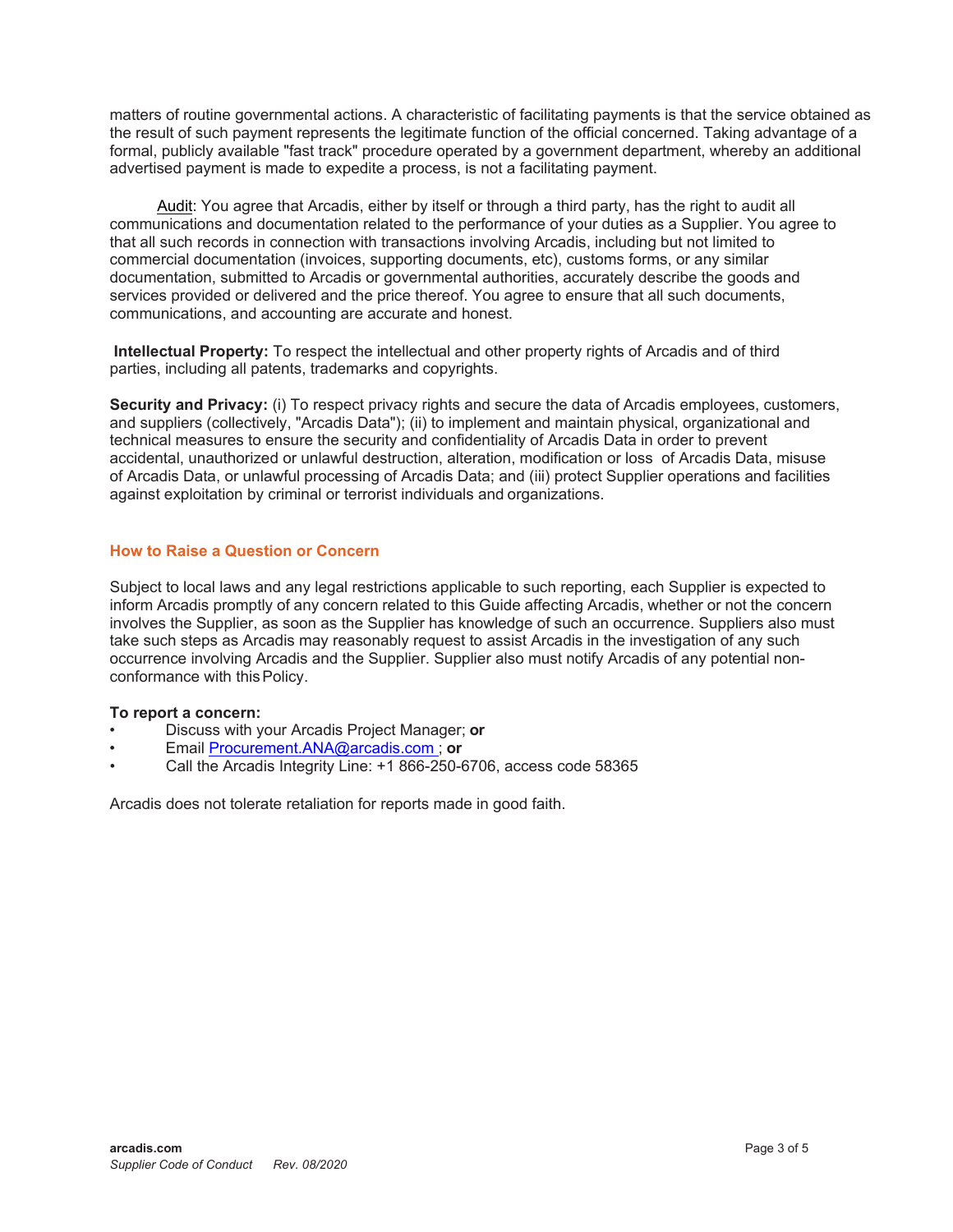matters of routine governmental actions. A characteristic of facilitating payments is that the service obtained as the result of such payment represents the legitimate function of the official concerned. Taking advantage of a formal, publicly available "fast track" procedure operated by a government department, whereby an additional advertised payment is made to expedite a process, is not a facilitating payment.

Audit: You agree that Arcadis, either by itself or through a third party, has the right to audit all communications and documentation related to the performance of your duties as a Supplier. You agree to that all such records in connection with transactions involving Arcadis, including but not limited to commercial documentation (invoices, supporting documents, etc), customs forms, or any similar documentation, submitted to Arcadis or governmental authorities, accurately describe the goods and services provided or delivered and the price thereof. You agree to ensure that all such documents, communications, and accounting are accurate and honest.

**Intellectual Property:** To respect the intellectual and other property rights of Arcadis and of third parties, including all patents, trademarks and copyrights.

**Security and Privacy:** (i) To respect privacy rights and secure the data of Arcadis employees, customers, and suppliers (collectively, "Arcadis Data"); (ii) to implement and maintain physical, organizational and technical measures to ensure the security and confidentiality of Arcadis Data in order to prevent accidental, unauthorized or unlawful destruction, alteration, modification or loss of Arcadis Data, misuse of Arcadis Data, or unlawful processing of Arcadis Data; and (iii) protect Supplier operations and facilities against exploitation by criminal or terrorist individuals and organizations.

### **How to Raise a Question or Concern**

Subject to local laws and any legal restrictions applicable to such reporting, each Supplier is expected to inform Arcadis promptly of any concern related to this Guide affecting Arcadis, whether or not the concern involves the Supplier, as soon as the Supplier has knowledge of such an occurrence. Suppliers also must take such steps as Arcadis may reasonably request to assist Arcadis in the investigation of any such occurrence involving Arcadis and the Supplier. Supplier also must notify Arcadis of any potential nonconformance with this Policy.

### **To report a concern:**

- Discuss with your Arcadis Project Manager; **or**
- Email [Procurement.ANA@arcadis.com ;](mailto:Procurement.ANA@arcadis.com) **or**
- Call the Arcadis Integrity Line: +1 866-250-6706, access code 58365

Arcadis does not tolerate retaliation for reports made in good faith.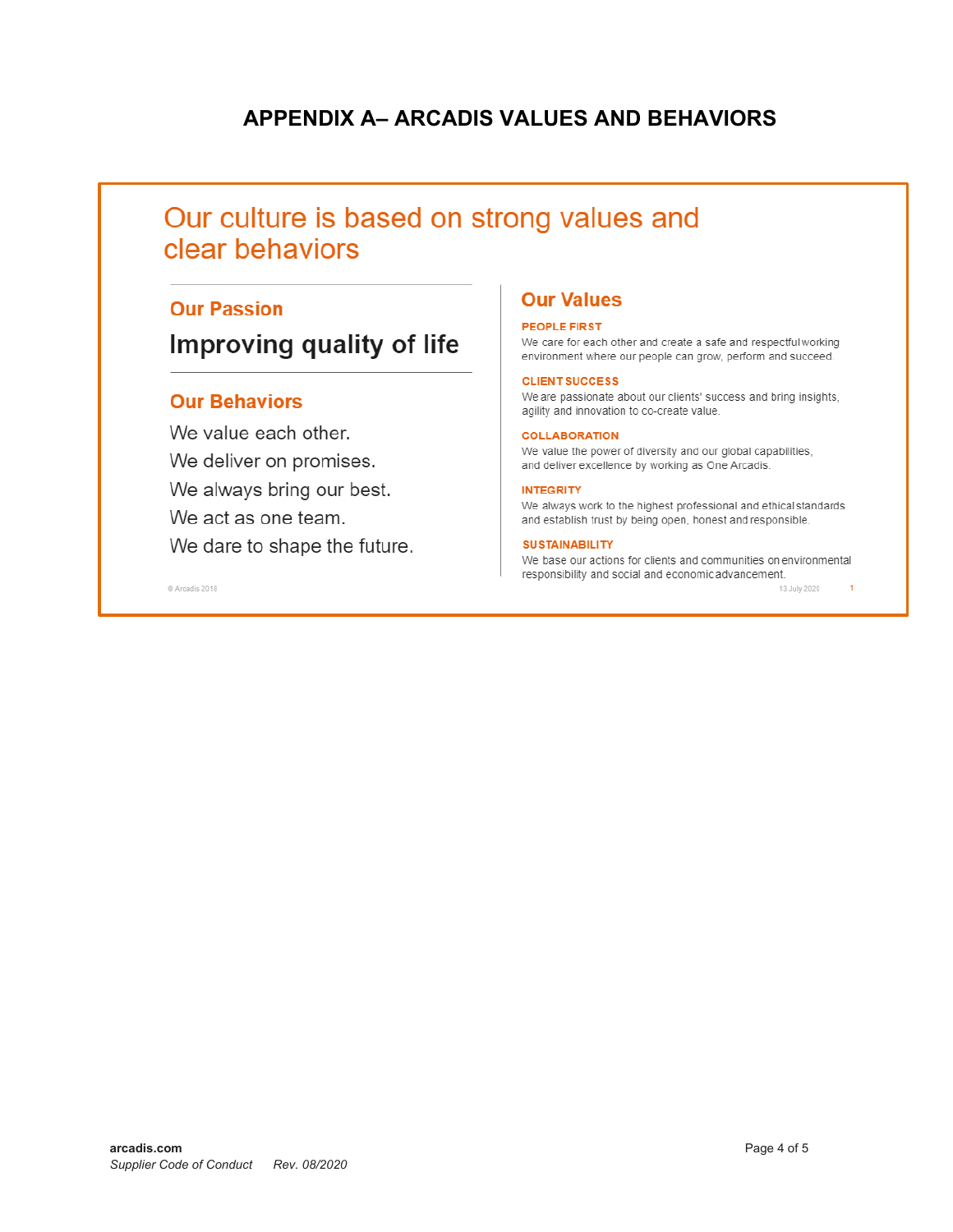# **APPENDIX A- ARCADIS VALUES AND BEHAVIORS**

# Our culture is based on strong values and clear behaviors

# **Our Passion**

# Improving quality of life

## **Our Behaviors**

C Arcadis 2018

We value each other. We deliver on promises. We always bring our best. We act as one team. We dare to shape the future.

# **Our Values**

### **PEOPLE FIRST**

We care for each other and create a safe and respectful working environment where our people can grow, perform and succeed.

#### **CLIENT SUCCESS**

We are passionate about our clients' success and bring insights, agility and innovation to co-create value.

#### **COLLABORATION**

We value the power of diversity and our global capabilities, and deliver excellence by working as One Arcadis.

#### **INTEGRITY**

We always work to the highest professional and ethical standards and establish trust by being open, honest and responsible.

#### **SUSTAINABILITY**

We base our actions for clients and communities on environmental responsibility and social and economic advancement.

13 July 2020